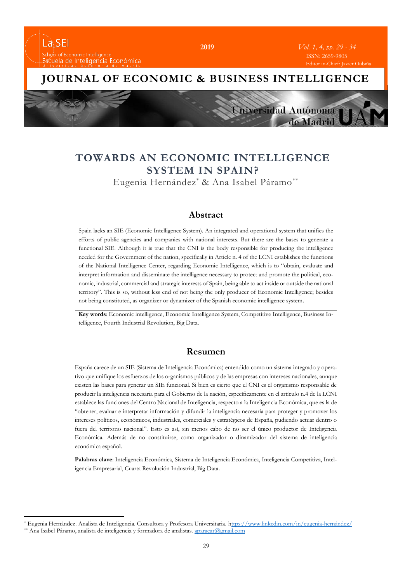

## **TOWARDS AN ECONOMIC INTELLIGENCE SYSTEM IN SPAIN?**

Eugenia Hernández\* & Ana Isabel Páramo\*\*

#### **Abstract**

Spain lacks an SIE (Economic Intelligence System). An integrated and operational system that unifies the efforts of public agencies and companies with national interests. But there are the bases to generate a functional SIE. Although it is true that the CNI is the body responsible for producing the intelligence needed for the Government of the nation, specifically in Article n. 4 of the LCNI establishes the functions of the National Intelligence Center, regarding Economic Intelligence, which is to "obtain, evaluate and interpret information and disseminate the intelligence necessary to protect and promote the political, economic, industrial, commercial and strategic interests of Spain, being able to act inside or outside the national territory". This is so, without less end of not being the only producer of Economic Intelligence; besides not being constituted, as organizer or dynamizer of the Spanish economic intelligence system.

**Key words**: Economic intelligence, Economic Intelligence System, Competitive Intelligence, Business Intelligence, Fourth Industrial Revolution, Big Data.

#### **Resumen**

España carece de un SIE (Sistema de Inteligencia Económica) entendido como un sistema integrado y operativo que unifique los esfuerzos de los organismos públicos y de las empresas con intereses nacionales, aunque existen las bases para generar un SIE funcional. Si bien es cierto que el CNI es el organismo responsable de producir la inteligencia necesaria para el Gobierno de la nación, específicamente en el artículo n.4 de la LCNI establece las funciones del Centro Nacional de Inteligencia, respecto a la Inteligencia Económica, que es la de "obtener, evaluar e interpretar información y difundir la inteligencia necesaria para proteger y promover los intereses políticos, económicos, industriales, comerciales y estratégicos de España, pudiendo actuar dentro o fuera del territorio nacional". Esto es así, sin menos cabo de no ser el único productor de Inteligencia Económica. Además de no constituirse, como organizador o dinamizador del sistema de inteligencia económica español.

**Palabras clave**: Inteligencia Económica, Sistema de Inteligencia Económica, Inteligencia Competitiva, Inteligencia Empresarial, Cuarta Revolución Industrial, Big Data.

 $\overline{a}$ 

<sup>\*</sup> Eugenia Hernández. Analista de Inteligencia. Consultora y Profesora Universitaria. [https://www.linkedin.com/in/eugenia-hernández/](ttps://www.linkedin.com/in/eugenia-hernández/) \*\* Ana Isabel Páramo, analista de inteligencia y formadora de analistas. [aparacar@gmail.com](mailto:aparacar@gmail.com)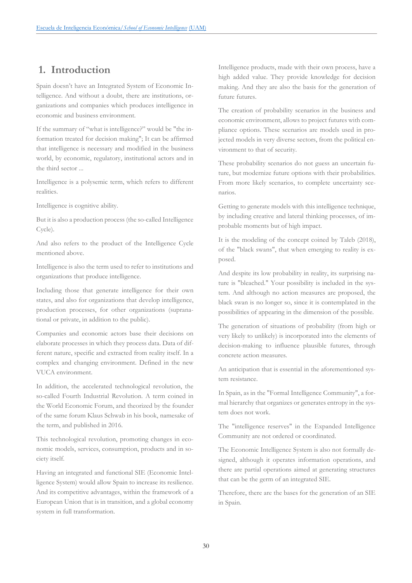### **1. Introduction**

Spain doesn't have an Integrated System of Economic Intelligence. And without a doubt, there are institutions, organizations and companies which produces intelligence in economic and business environment.

If the summary of "what is intelligence?" would be "the information treated for decision making"; It can be affirmed that intelligence is necessary and modified in the business world, by economic, regulatory, institutional actors and in the third sector ...

Intelligence is a polysemic term, which refers to different realities.

Intelligence is cognitive ability.

But it is also a production process (the so-called Intelligence Cycle).

And also refers to the product of the Intelligence Cycle mentioned above.

Intelligence is also the term used to refer to institutions and organizations that produce intelligence.

Including those that generate intelligence for their own states, and also for organizations that develop intelligence, production processes, for other organizations (supranational or private, in addition to the public).

Companies and economic actors base their decisions on elaborate processes in which they process data. Data of different nature, specific and extracted from reality itself. In a complex and changing environment. Defined in the new VUCA environment.

In addition, the accelerated technological revolution, the so-called Fourth Industrial Revolution. A term coined in the World Economic Forum, and theorized by the founder of the same forum Klaus Schwab in his book, namesake of the term, and published in 2016.

This technological revolution, promoting changes in economic models, services, consumption, products and in society itself.

Having an integrated and functional SIE (Economic Intelligence System) would allow Spain to increase its resilience. And its competitive advantages, within the framework of a European Union that is in transition, and a global economy system in full transformation.

Intelligence products, made with their own process, have a high added value. They provide knowledge for decision making. And they are also the basis for the generation of future futures.

The creation of probability scenarios in the business and economic environment, allows to project futures with compliance options. These scenarios are models used in projected models in very diverse sectors, from the political environment to that of security.

These probability scenarios do not guess an uncertain future, but modernize future options with their probabilities. From more likely scenarios, to complete uncertainty scenarios.

Getting to generate models with this intelligence technique, by including creative and lateral thinking processes, of improbable moments but of high impact.

It is the modeling of the concept coined by Taleb (2018), of the "black swans", that when emerging to reality is exposed.

And despite its low probability in reality, its surprising nature is "bleached." Your possibility is included in the system. And although no action measures are proposed, the black swan is no longer so, since it is contemplated in the possibilities of appearing in the dimension of the possible.

The generation of situations of probability (from high or very likely to unlikely) is incorporated into the elements of decision-making to influence plausible futures, through concrete action measures.

An anticipation that is essential in the aforementioned system resistance.

In Spain, as in the "Formal Intelligence Community", a formal hierarchy that organizes or generates entropy in the system does not work.

The "intelligence reserves" in the Expanded Intelligence Community are not ordered or coordinated.

The Economic Intelligence System is also not formally designed, although it operates information operations, and there are partial operations aimed at generating structures that can be the germ of an integrated SIE.

Therefore, there are the bases for the generation of an SIE in Spain.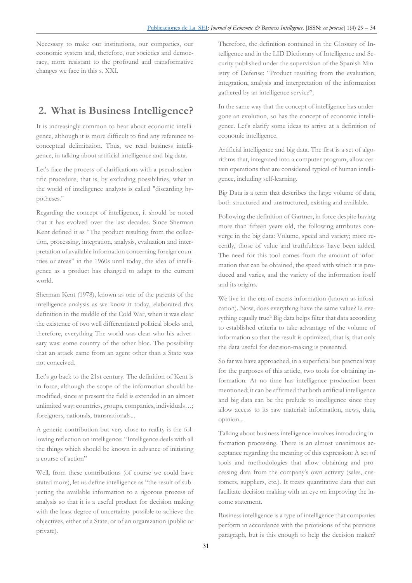Necessary to make our institutions, our companies, our economic system and, therefore, our societies and democracy, more resistant to the profound and transformative changes we face in this s. XXI.

# **2. What is Business Intelligence?**

It is increasingly common to hear about economic intelligence, although it is more difficult to find any reference to conceptual delimitation. Thus, we read business intelligence, in talking about artificial intelligence and big data.

Let's face the process of clarifications with a pseudoscientific procedure, that is, by excluding possibilities, what in the world of intelligence analysts is called "discarding hypotheses."

Regarding the concept of intelligence, it should be noted that it has evolved over the last decades. Since Sherman Kent defined it as "The product resulting from the collection, processing, integration, analysis, evaluation and interpretation of available information concerning foreign countries or areas" in the 1960s until today, the idea of intelligence as a product has changed to adapt to the current world.

Sherman Kent (1978), known as one of the parents of the intelligence analysis as we know it today, elaborated this definition in the middle of the Cold War, when it was clear the existence of two well differentiated political blocks and, therefore, everything The world was clear who his adversary was: some country of the other bloc. The possibility that an attack came from an agent other than a State was not conceived.

Let's go back to the 21st century. The definition of Kent is in force, although the scope of the information should be modified, since at present the field is extended in an almost unlimited way: countries, groups, companies, individuals…; foreigners, nationals, transnationals...

A generic contribution but very close to reality is the following reflection on intelligence: "Intelligence deals with all the things which should be known in advance of initiating a course of action"

Well, from these contributions (of course we could have stated more), let us define intelligence as "the result of subjecting the available information to a rigorous process of analysis so that it is a useful product for decision making with the least degree of uncertainty possible to achieve the objectives, either of a State, or of an organization (public or private).

Therefore, the definition contained in the Glossary of Intelligence and in the LID Dictionary of Intelligence and Security published under the supervision of the Spanish Ministry of Defense: "Product resulting from the evaluation, integration, analysis and interpretation of the information gathered by an intelligence service".

In the same way that the concept of intelligence has undergone an evolution, so has the concept of economic intelligence. Let's clarify some ideas to arrive at a definition of economic intelligence.

Artificial intelligence and big data. The first is a set of algorithms that, integrated into a computer program, allow certain operations that are considered typical of human intelligence, including self-learning.

Big Data is a term that describes the large volume of data, both structured and unstructured, existing and available.

Following the definition of Gartner, in force despite having more than fifteen years old, the following attributes converge in the big data: Volume, speed and variety; more recently, those of value and truthfulness have been added. The need for this tool comes from the amount of information that can be obtained, the speed with which it is produced and varies, and the variety of the information itself and its origins.

We live in the era of excess information (known as infoxication). Now, does everything have the same value? Is everything equally true? Big data helps filter that data according to established criteria to take advantage of the volume of information so that the result is optimized, that is, that only the data useful for decision-making is presented.

So far we have approached, in a superficial but practical way for the purposes of this article, two tools for obtaining information. At no time has intelligence production been mentioned; it can be affirmed that both artificial intelligence and big data can be the prelude to intelligence since they allow access to its raw material: information, news, data, opinion...

Talking about business intelligence involves introducing information processing. There is an almost unanimous acceptance regarding the meaning of this expression: A set of tools and methodologies that allow obtaining and processing data from the company's own activity (sales, customers, suppliers, etc.). It treats quantitative data that can facilitate decision making with an eye on improving the income statement.

Business intelligence is a type of intelligence that companies perform in accordance with the provisions of the previous paragraph, but is this enough to help the decision maker?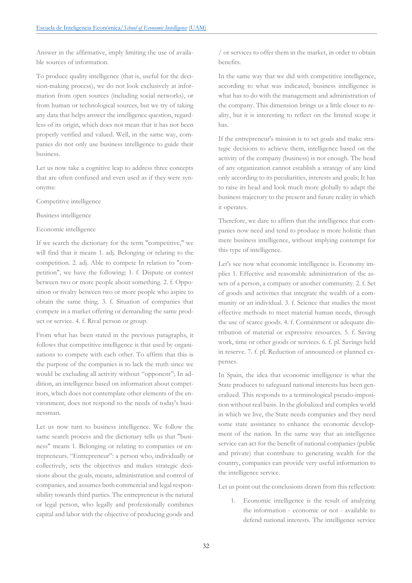Answer in the affirmative, imply limiting the use of available sources of information.

To produce quality intelligence (that is, useful for the decision-making process), we do not look exclusively at information from open sources (including social networks), or from human or technological sources, but we try of taking any data that helps answer the intelligence question, regardless of its origin, which does not mean that it has not been properly verified and valued. Well, in the same way, companies do not only use business intelligence to guide their business.

Let us now take a cognitive leap to address three concepts that are often confused and even used as if they were synonyms:

Competitive intelligence

Business intelligence

#### Economic intelligence

If we search the dictionary for the term "competitive," we will find that it means 1. adj. Belonging or relating to the competition. 2. adj. Able to compete In relation to "competition", we have the following: 1. f. Dispute or contest between two or more people about something. 2. f. Opposition or rivalry between two or more people who aspire to obtain the same thing. 3. f. Situation of companies that compete in a market offering or demanding the same product or service. 4. f. Rival person or group.

From what has been stated in the previous paragraphs, it follows that competitive intelligence is that used by organizations to compete with each other. To affirm that this is the purpose of the companies is to lack the truth since we would be excluding all activity without "opponent"; In addition, an intelligence based on information about competitors, which does not contemplate other elements of the environment, does not respond to the needs of today's businessman.

Let us now turn to business intelligence. We follow the same search process and the dictionary tells us that "business" means 1. Belonging or relating to companies or entrepreneurs. "Entrepreneur": a person who, individually or collectively, sets the objectives and makes strategic decisions about the goals, means, administration and control of companies, and assumes both commercial and legal responsibility towards third parties. The entrepreneur is the natural or legal person, who legally and professionally combines capital and labor with the objective of producing goods and

/ or services to offer them in the market, in order to obtain benefits.

In the same way that we did with competitive intelligence, according to what was indicated, business intelligence is what has to do with the management and administration of the company. This dimension brings us a little closer to reality, but it is interesting to reflect on the limited scope it has.

If the entrepreneur's mission is to set goals and make strategic decisions to achieve them, intelligence based on the activity of the company (business) is not enough. The head of any organization cannot establish a strategy of any kind only according to its peculiarities, interests and goals; It has to raise its head and look much more globally to adapt the business trajectory to the present and future reality in which it operates.

Therefore, we dare to affirm that the intelligence that companies now need and tend to produce is more holistic than mere business intelligence, without implying contempt for this type of intelligence.

Let's see now what economic intelligence is. Economy implies 1. Effective and reasonable administration of the assets of a person, a company or another community. 2. f. Set of goods and activities that integrate the wealth of a community or an individual. 3. f. Science that studies the most effective methods to meet material human needs, through the use of scarce goods. 4. f. Containment or adequate distribution of material or expressive resources. 5. f. Saving work, time or other goods or services. 6. f. pl. Savings held in reserve. 7. f. pl. Reduction of announced or planned expenses.

In Spain, the idea that economic intelligence is what the State produces to safeguard national interests has been generalized. This responds to a terminological pseudo-imposition without real basis. In the globalized and complex world in which we live, the State needs companies and they need some state assistance to enhance the economic development of the nation. In the same way that an intelligence service can act for the benefit of national companies (public and private) that contribute to generating wealth for the country, companies can provide very useful information to the intelligence service.

Let us point out the conclusions drawn from this reflection:

1. Economic intelligence is the result of analyzing the information - economic or not - available to defend national interests. The intelligence service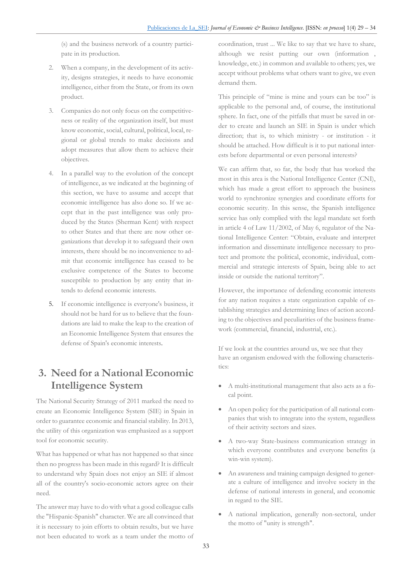(s) and the business network of a country participate in its production.

- 2. When a company, in the development of its activity, designs strategies, it needs to have economic intelligence, either from the State, or from its own product.
- 3. Companies do not only focus on the competitiveness or reality of the organization itself, but must know economic, social, cultural, political, local, regional or global trends to make decisions and adopt measures that allow them to achieve their objectives.
- 4. In a parallel way to the evolution of the concept of intelligence, as we indicated at the beginning of this section, we have to assume and accept that economic intelligence has also done so. If we accept that in the past intelligence was only produced by the States (Sherman Kent) with respect to other States and that there are now other organizations that develop it to safeguard their own interests, there should be no inconvenience to admit that economic intelligence has ceased to be exclusive competence of the States to become susceptible to production by any entity that intends to defend economic interests.
- 5. If economic intelligence is everyone's business, it should not be hard for us to believe that the foundations are laid to make the leap to the creation of an Economic Intelligence System that ensures the defense of Spain's economic interests.

# **3. Need for a National Economic Intelligence System**

The National Security Strategy of 2011 marked the need to create an Economic Intelligence System (SIE) in Spain in order to guarantee economic and financial stability. In 2013, the utility of this organization was emphasized as a support tool for economic security.

What has happened or what has not happened so that since then no progress has been made in this regard? It is difficult to understand why Spain does not enjoy an SIE if almost all of the country's socio-economic actors agree on their need.

The answer may have to do with what a good colleague calls the "Hispanic-Spanish" character. We are all convinced that it is necessary to join efforts to obtain results, but we have not been educated to work as a team under the motto of coordination, trust ... We like to say that we have to share, although we resist putting our own (information , knowledge, etc.) in common and available to others; yes, we accept without problems what others want to give, we even demand them.

This principle of "mine is mine and yours can be too" is applicable to the personal and, of course, the institutional sphere. In fact, one of the pitfalls that must be saved in order to create and launch an SIE in Spain is under which direction; that is, to which ministry - or institution - it should be attached. How difficult is it to put national interests before departmental or even personal interests?

We can affirm that, so far, the body that has worked the most in this area is the National Intelligence Center (CNI), which has made a great effort to approach the business world to synchronize synergies and coordinate efforts for economic security. In this sense, the Spanish intelligence service has only complied with the legal mandate set forth in article 4 of Law 11/2002, of May 6, regulator of the National Intelligence Center: "Obtain, evaluate and interpret information and disseminate intelligence necessary to protect and promote the political, economic, individual, commercial and strategic interests of Spain, being able to act inside or outside the national territory".

However, the importance of defending economic interests for any nation requires a state organization capable of establishing strategies and determining lines of action according to the objectives and peculiarities of the business framework (commercial, financial, industrial, etc.).

If we look at the countries around us, we see that they have an organism endowed with the following characteristics:

- A multi-institutional management that also acts as a focal point.
- An open policy for the participation of all national companies that wish to integrate into the system, regardless of their activity sectors and sizes.
- A two-way State-business communication strategy in which everyone contributes and everyone benefits (a win-win system).
- An awareness and training campaign designed to generate a culture of intelligence and involve society in the defense of national interests in general, and economic in regard to the SIE.
- A national implication, generally non-sectoral, under the motto of "unity is strength".